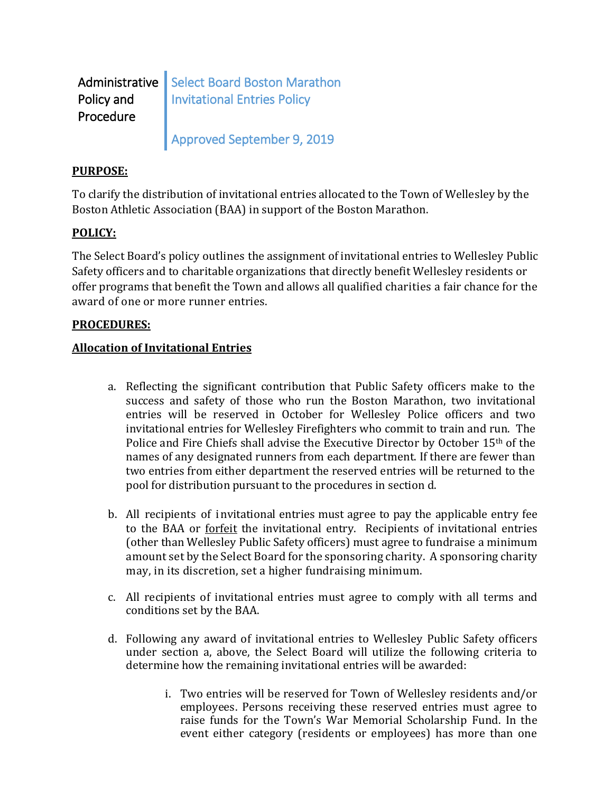| Policy and | Administrative   Select Board Boston Marathon |
|------------|-----------------------------------------------|
| Procedure  | Invitational Entries Policy                   |
|            | Approved September 9, 2019                    |

# **PURPOSE:**

To clarify the distribution of invitational entries allocated to the Town of Wellesley by the Boston Athletic Association (BAA) in support of the Boston Marathon.

# **POLICY:**

The Select Board's policy outlines the assignment of invitational entries to Wellesley Public Safety officers and to charitable organizations that directly benefit Wellesley residents or offer programs that benefit the Town and allows all qualified charities a fair chance for the award of one or more runner entries.

# **PROCEDURES:**

# **Allocation of Invitational Entries**

- a. Reflecting the significant contribution that Public Safety officers make to the success and safety of those who run the Boston Marathon, two invitational entries will be reserved in October for Wellesley Police officers and two invitational entries for Wellesley Firefighters who commit to train and run. The Police and Fire Chiefs shall advise the Executive Director by October 15th of the names of any designated runners from each department. If there are fewer than two entries from either department the reserved entries will be returned to the pool for distribution pursuant to the procedures in section d.
- b. All recipients of invitational entries must agree to pay the applicable entry fee to the BAA or forfeit the invitational entry. Recipients of invitational entries (other than Wellesley Public Safety officers) must agree to fundraise a minimum amount set by the Select Board for the sponsoring charity. A sponsoring charity may, in its discretion, set a higher fundraising minimum.
- c. All recipients of invitational entries must agree to comply with all terms and conditions set by the BAA.
- d. Following any award of invitational entries to Wellesley Public Safety officers under section a, above, the Select Board will utilize the following criteria to determine how the remaining invitational entries will be awarded:
	- i. Two entries will be reserved for Town of Wellesley residents and/or employees. Persons receiving these reserved entries must agree to raise funds for the Town's War Memorial Scholarship Fund. In the event either category (residents or employees) has more than one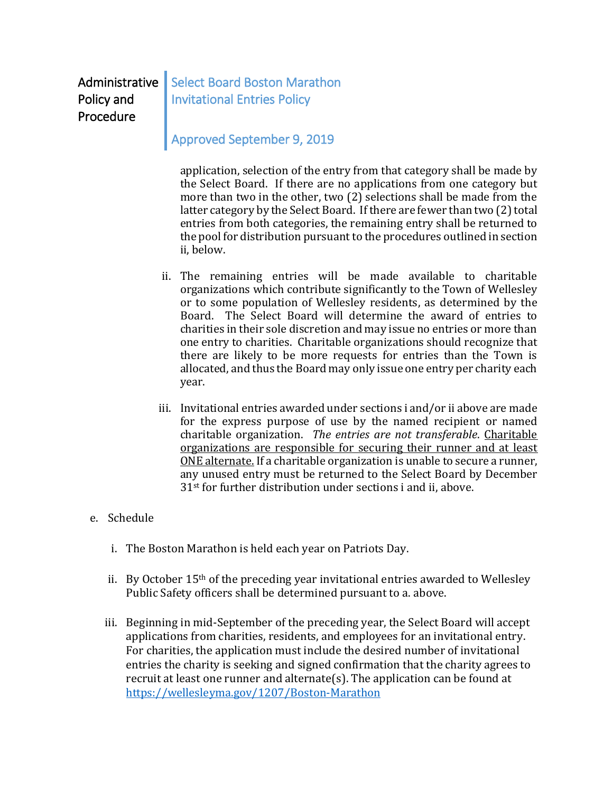Administrative Policy and Procedure

Select Board Boston Marathon Invitational Entries Policy

# Approved September 9, 2019

application, selection of the entry from that category shall be made by the Select Board. If there are no applications from one category but more than two in the other, two (2) selections shall be made from the latter category by the Select Board. If there are fewer than two (2) total entries from both categories, the remaining entry shall be returned to the pool for distribution pursuant to the procedures outlined in section ii, below.

- ii. The remaining entries will be made available to charitable organizations which contribute significantly to the Town of Wellesley or to some population of Wellesley residents, as determined by the Board. The Select Board will determine the award of entries to charities in their sole discretion and may issue no entries or more than one entry to charities. Charitable organizations should recognize that there are likely to be more requests for entries than the Town is allocated, and thus the Board may only issue one entry per charity each year.
- iii. Invitational entries awarded under sections i and/or ii above are made for the express purpose of use by the named recipient or named charitable organization. *The entries are not transferable*. Charitable organizations are responsible for securing their runner and at least ONE alternate. If a charitable organization is unable to secure a runner, any unused entry must be returned to the Select Board by December 31st for further distribution under sections i and ii, above.

# e. Schedule

- i. The Boston Marathon is held each year on Patriots Day.
- ii. By October 15th of the preceding year invitational entries awarded to Wellesley Public Safety officers shall be determined pursuant to a. above.
- iii. Beginning in mid-September of the preceding year, the Select Board will accept applications from charities, residents, and employees for an invitational entry. For charities, the application must include the desired number of invitational entries the charity is seeking and signed confirmation that the charity agrees to recruit at least one runner and alternate(s). The application can be found at <https://wellesleyma.gov/1207/Boston-Marathon>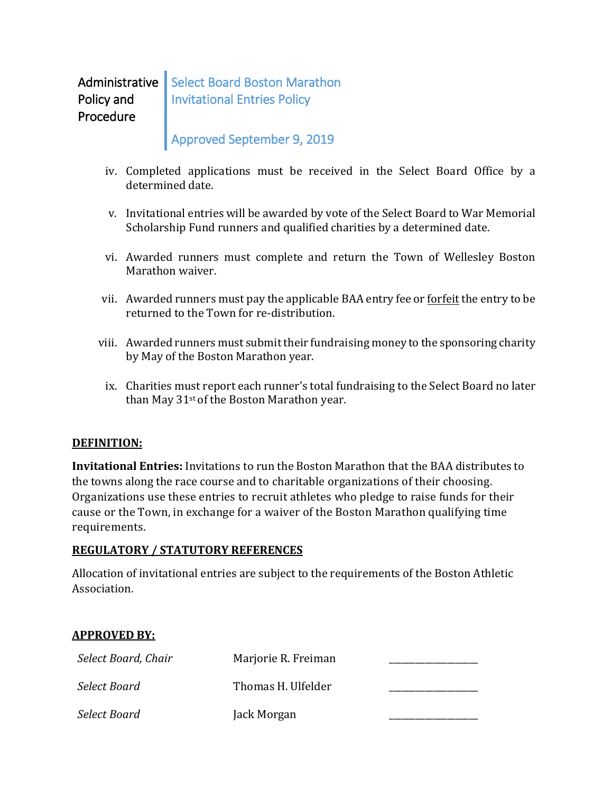#### Administrative | Select Board Boston Marathon Policy and Procedure Invitational Entries Policy

# Approved September 9, 2019

- iv. Completed applications must be received in the Select Board Office by a determined date.
- v. Invitational entries will be awarded by vote of the Select Board to War Memorial Scholarship Fund runners and qualified charities by a determined date.
- vi. Awarded runners must complete and return the Town of Wellesley Boston Marathon waiver.
- vii. Awarded runners must pay the applicable BAA entry fee or forfeit the entry to be returned to the Town for re-distribution.
- viii. Awarded runners must submit their fundraising money to the sponsoring charity by May of the Boston Marathon year.
	- ix. Charities must report each runner's total fundraising to the Select Board no later than May 31<sup>st</sup> of the Boston Marathon year.

# **DEFINITION:**

**Invitational Entries:** Invitations to run the Boston Marathon that the BAA distributes to the towns along the race course and to charitable organizations of their choosing. Organizations use these entries to recruit athletes who pledge to raise funds for their cause or the Town, in exchange for a waiver of the Boston Marathon qualifying time requirements.

# **REGULATORY / STATUTORY REFERENCES**

Allocation of invitational entries are subject to the requirements of the Boston Athletic Association.

# **APPROVED BY:**

| Select Board, Chair | Marjorie R. Freiman |  |
|---------------------|---------------------|--|
| Select Board        | Thomas H. Ulfelder  |  |
| Select Board        | Jack Morgan         |  |